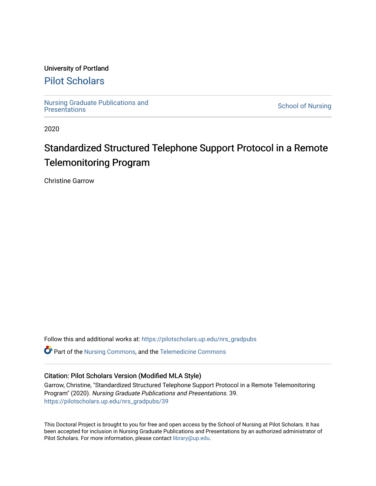# University of Portland

# [Pilot Scholars](https://pilotscholars.up.edu/)

[Nursing Graduate Publications and](https://pilotscholars.up.edu/nrs_gradpubs) 

**School of Nursing** 

2020

# Standardized Structured Telephone Support Protocol in a Remote Telemonitoring Program

Christine Garrow

Follow this and additional works at: https://pilotscholars.up.edu/nrs\_gradpubs

Part of the [Nursing Commons,](http://network.bepress.com/hgg/discipline/718?utm_source=pilotscholars.up.edu%2Fnrs_gradpubs%2F39&utm_medium=PDF&utm_campaign=PDFCoverPages) and the [Telemedicine Commons](http://network.bepress.com/hgg/discipline/1367?utm_source=pilotscholars.up.edu%2Fnrs_gradpubs%2F39&utm_medium=PDF&utm_campaign=PDFCoverPages)

# Citation: Pilot Scholars Version (Modified MLA Style)

Garrow, Christine, "Standardized Structured Telephone Support Protocol in a Remote Telemonitoring Program" (2020). Nursing Graduate Publications and Presentations. 39. [https://pilotscholars.up.edu/nrs\\_gradpubs/39](https://pilotscholars.up.edu/nrs_gradpubs/39?utm_source=pilotscholars.up.edu%2Fnrs_gradpubs%2F39&utm_medium=PDF&utm_campaign=PDFCoverPages)

This Doctoral Project is brought to you for free and open access by the School of Nursing at Pilot Scholars. It has been accepted for inclusion in Nursing Graduate Publications and Presentations by an authorized administrator of Pilot Scholars. For more information, please contact [library@up.edu](mailto:library@up.edu).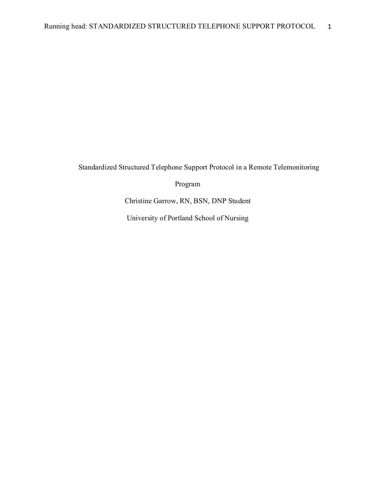Standardized Structured Telephone Support Protocol in a Remote Telemonitoring

Program

Christine Garrow, RN, BSN, DNP Student

University of Portland School of Nursing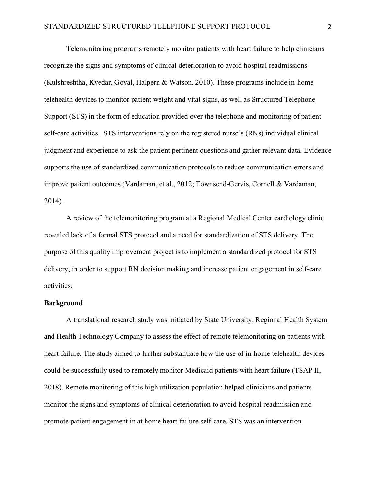Telemonitoring programs remotely monitor patients with heart failure to help clinicians recognize the signs and symptoms of clinical deterioration to avoid hospital readmissions (Kulshreshtha, Kvedar, Goyal, Halpern & Watson, 2010). These programs include in-home telehealth devices to monitor patient weight and vital signs, as well as Structured Telephone Support (STS) in the form of education provided over the telephone and monitoring of patient self-care activities. STS interventions rely on the registered nurse's (RNs) individual clinical judgment and experience to ask the patient pertinent questions and gather relevant data. Evidence supports the use of standardized communication protocols to reduce communication errors and improve patient outcomes (Vardaman, et al., 2012; Townsend-Gervis, Cornell & Vardaman, 2014).

A review of the telemonitoring program at a Regional Medical Center cardiology clinic revealed lack of a formal STS protocol and a need for standardization of STS delivery. The purpose of this quality improvement project is to implement a standardized protocol for STS delivery, in order to support RN decision making and increase patient engagement in self-care activities.

# **Background**

A translational research study was initiated by State University, Regional Health System and Health Technology Company to assess the effect of remote telemonitoring on patients with heart failure. The study aimed to further substantiate how the use of in-home telehealth devices could be successfully used to remotely monitor Medicaid patients with heart failure (TSAP II, 2018). Remote monitoring of this high utilization population helped clinicians and patients monitor the signs and symptoms of clinical deterioration to avoid hospital readmission and promote patient engagement in at home heart failure self-care. STS was an intervention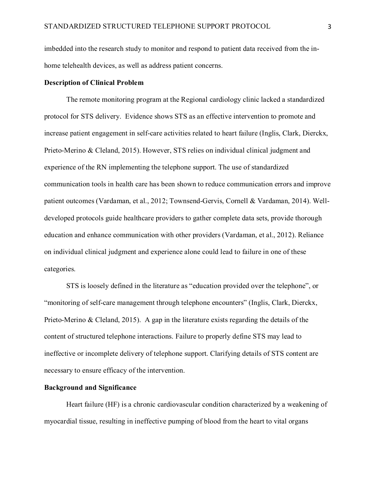imbedded into the research study to monitor and respond to patient data received from the inhome telehealth devices, as well as address patient concerns.

# **Description of Clinical Problem**

The remote monitoring program at the Regional cardiology clinic lacked a standardized protocol for STS delivery. Evidence shows STS as an effective intervention to promote and increase patient engagement in self-care activities related to heart failure (Inglis, Clark, Dierckx, Prieto‐Merino & Cleland, 2015). However, STS relies on individual clinical judgment and experience of the RN implementing the telephone support. The use of standardized communication tools in health care has been shown to reduce communication errors and improve patient outcomes (Vardaman, et al., 2012; Townsend-Gervis, Cornell & Vardaman, 2014). Welldeveloped protocols guide healthcare providers to gather complete data sets, provide thorough education and enhance communication with other providers (Vardaman, et al., 2012). Reliance on individual clinical judgment and experience alone could lead to failure in one of these categories.

STS is loosely defined in the literature as "education provided over the telephone", or "monitoring of self-care management through telephone encounters" (Inglis, Clark, Dierckx, Prieto-Merino & Cleland, 2015). A gap in the literature exists regarding the details of the content of structured telephone interactions. Failure to properly define STS may lead to ineffective or incomplete delivery of telephone support. Clarifying details of STS content are necessary to ensure efficacy of the intervention.

# **Background and Significance**

Heart failure (HF) is a chronic cardiovascular condition characterized by a weakening of myocardial tissue, resulting in ineffective pumping of blood from the heart to vital organs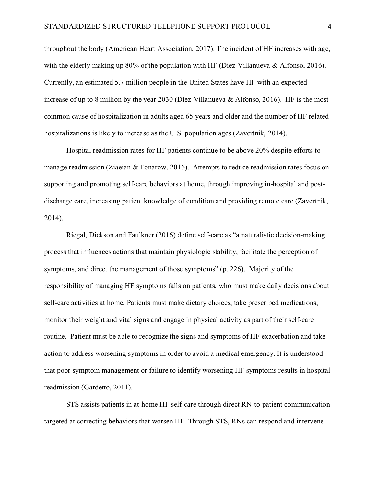throughout the body (American Heart Association, 2017). The incident of HF increases with age, with the elderly making up 80% of the population with HF (Díez-Villanueva & Alfonso, 2016). Currently, an estimated 5.7 million people in the United States have HF with an expected increase of up to 8 million by the year 2030 (Díez-Villanueva & Alfonso, 2016). HF is the most common cause of hospitalization in adults aged 65 years and older and the number of HF related hospitalizations is likely to increase as the U.S. population ages (Zavertnik, 2014).

Hospital readmission rates for HF patients continue to be above 20% despite efforts to manage readmission (Ziaeian & Fonarow, 2016). Attempts to reduce readmission rates focus on supporting and promoting self-care behaviors at home, through improving in-hospital and postdischarge care, increasing patient knowledge of condition and providing remote care (Zavertnik, 2014).

Riegal, Dickson and Faulkner (2016) define self-care as "a naturalistic decision-making process that influences actions that maintain physiologic stability, facilitate the perception of symptoms, and direct the management of those symptoms" (p. 226). Majority of the responsibility of managing HF symptoms falls on patients, who must make daily decisions about self-care activities at home. Patients must make dietary choices, take prescribed medications, monitor their weight and vital signs and engage in physical activity as part of their self-care routine. Patient must be able to recognize the signs and symptoms of HF exacerbation and take action to address worsening symptoms in order to avoid a medical emergency. It is understood that poor symptom management or failure to identify worsening HF symptoms results in hospital readmission (Gardetto, 2011).

STS assists patients in at-home HF self-care through direct RN-to-patient communication targeted at correcting behaviors that worsen HF. Through STS, RNs can respond and intervene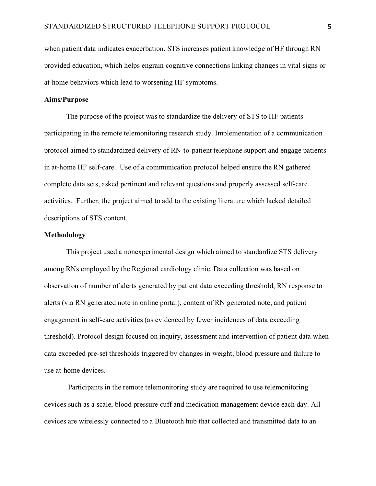when patient data indicates exacerbation. STS increases patient knowledge of HF through RN provided education, which helps engrain cognitive connections linking changes in vital signs or at-home behaviors which lead to worsening HF symptoms.

# **Aims/Purpose**

The purpose of the project was to standardize the delivery of STS to HF patients participating in the remote telemonitoring research study. Implementation of a communication protocol aimed to standardized delivery of RN-to-patient telephone support and engage patients in at-home HF self-care. Use of a communication protocol helped ensure the RN gathered complete data sets, asked pertinent and relevant questions and properly assessed self-care activities. Further, the project aimed to add to the existing literature which lacked detailed descriptions of STS content.

#### **Methodology**

This project used a nonexperimental design which aimed to standardize STS delivery among RNs employed by the Regional cardiology clinic. Data collection was based on observation of number of alerts generated by patient data exceeding threshold, RN response to alerts (via RN generated note in online portal), content of RN generated note, and patient engagement in self-care activities (as evidenced by fewer incidences of data exceeding threshold). Protocol design focused on inquiry, assessment and intervention of patient data when data exceeded pre-set thresholds triggered by changes in weight, blood pressure and failure to use at-home devices.

 Participants in the remote telemonitoring study are required to use telemonitoring devices such as a scale, blood pressure cuff and medication management device each day. All devices are wirelessly connected to a Bluetooth hub that collected and transmitted data to an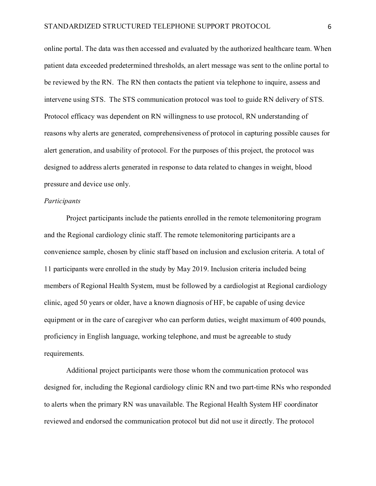online portal. The data was then accessed and evaluated by the authorized healthcare team. When patient data exceeded predetermined thresholds, an alert message was sent to the online portal to be reviewed by the RN. The RN then contacts the patient via telephone to inquire, assess and intervene using STS. The STS communication protocol was tool to guide RN delivery of STS. Protocol efficacy was dependent on RN willingness to use protocol, RN understanding of reasons why alerts are generated, comprehensiveness of protocol in capturing possible causes for alert generation, and usability of protocol. For the purposes of this project, the protocol was designed to address alerts generated in response to data related to changes in weight, blood pressure and device use only.

# *Participants*

Project participants include the patients enrolled in the remote telemonitoring program and the Regional cardiology clinic staff. The remote telemonitoring participants are a convenience sample, chosen by clinic staff based on inclusion and exclusion criteria. A total of 11 participants were enrolled in the study by May 2019. Inclusion criteria included being members of Regional Health System, must be followed by a cardiologist at Regional cardiology clinic, aged 50 years or older, have a known diagnosis of HF, be capable of using device equipment or in the care of caregiver who can perform duties, weight maximum of 400 pounds, proficiency in English language, working telephone, and must be agreeable to study requirements.

Additional project participants were those whom the communication protocol was designed for, including the Regional cardiology clinic RN and two part-time RNs who responded to alerts when the primary RN was unavailable. The Regional Health System HF coordinator reviewed and endorsed the communication protocol but did not use it directly. The protocol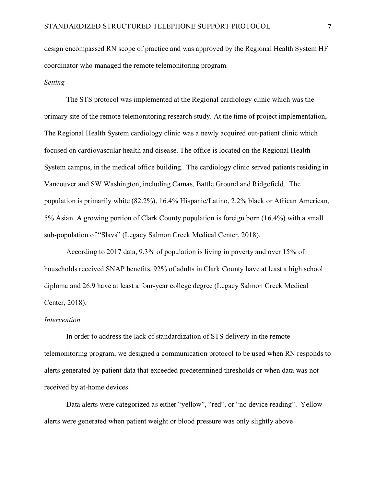design encompassed RN scope of practice and was approved by the Regional Health System HF coordinator who managed the remote telemonitoring program.

# *Setting*

The STS protocol was implemented at the Regional cardiology clinic which was the primary site of the remote telemonitoring research study. At the time of project implementation, The Regional Health System cardiology clinic was a newly acquired out-patient clinic which focused on cardiovascular health and disease. The office is located on the Regional Health System campus, in the medical office building. The cardiology clinic served patients residing in Vancouver and SW Washington, including Camas, Battle Ground and Ridgefield. The population is primarily white (82.2%), 16.4% Hispanic/Latino, 2.2% black or African American, 5% Asian. A growing portion of Clark County population is foreign born (16.4%) with a small sub-population of "Slavs" (Legacy Salmon Creek Medical Center, 2018).

According to 2017 data, 9.3% of population is living in poverty and over 15% of households received SNAP benefits. 92% of adults in Clark County have at least a high school diploma and 26.9 have at least a four-year college degree (Legacy Salmon Creek Medical Center, 2018).

### *Intervention*

In order to address the lack of standardization of STS delivery in the remote telemonitoring program, we designed a communication protocol to be used when RN responds to alerts generated by patient data that exceeded predetermined thresholds or when data was not received by at-home devices.

Data alerts were categorized as either "yellow", "red", or "no device reading". Yellow alerts were generated when patient weight or blood pressure was only slightly above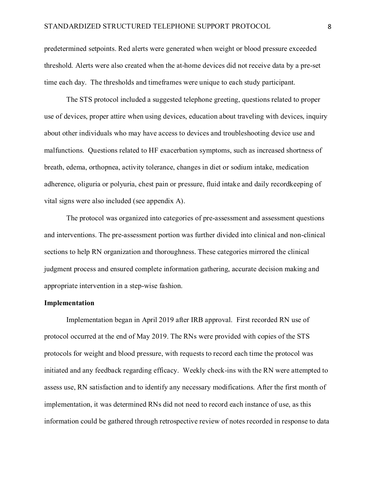predetermined setpoints. Red alerts were generated when weight or blood pressure exceeded threshold. Alerts were also created when the at-home devices did not receive data by a pre-set time each day. The thresholds and timeframes were unique to each study participant.

The STS protocol included a suggested telephone greeting, questions related to proper use of devices, proper attire when using devices, education about traveling with devices, inquiry about other individuals who may have access to devices and troubleshooting device use and malfunctions. Questions related to HF exacerbation symptoms, such as increased shortness of breath, edema, orthopnea, activity tolerance, changes in diet or sodium intake, medication adherence, oliguria or polyuria, chest pain or pressure, fluid intake and daily recordkeeping of vital signs were also included (see appendix A).

The protocol was organized into categories of pre-assessment and assessment questions and interventions. The pre-assessment portion was further divided into clinical and non-clinical sections to help RN organization and thoroughness. These categories mirrored the clinical judgment process and ensured complete information gathering, accurate decision making and appropriate intervention in a step-wise fashion.

# **Implementation**

Implementation began in April 2019 after IRB approval. First recorded RN use of protocol occurred at the end of May 2019. The RNs were provided with copies of the STS protocols for weight and blood pressure, with requests to record each time the protocol was initiated and any feedback regarding efficacy. Weekly check-ins with the RN were attempted to assess use, RN satisfaction and to identify any necessary modifications. After the first month of implementation, it was determined RNs did not need to record each instance of use, as this information could be gathered through retrospective review of notes recorded in response to data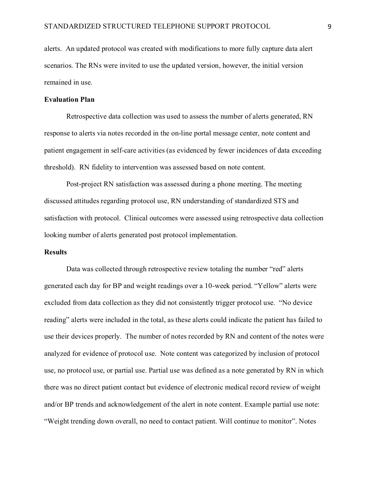alerts. An updated protocol was created with modifications to more fully capture data alert scenarios. The RNs were invited to use the updated version, however, the initial version remained in use.

# **Evaluation Plan**

Retrospective data collection was used to assess the number of alerts generated, RN response to alerts via notes recorded in the on-line portal message center, note content and patient engagement in self-care activities (as evidenced by fewer incidences of data exceeding threshold). RN fidelity to intervention was assessed based on note content.

Post-project RN satisfaction was assessed during a phone meeting. The meeting discussed attitudes regarding protocol use, RN understanding of standardized STS and satisfaction with protocol. Clinical outcomes were assessed using retrospective data collection looking number of alerts generated post protocol implementation.

### **Results**

Data was collected through retrospective review totaling the number "red" alerts generated each day for BP and weight readings over a 10-week period. "Yellow" alerts were excluded from data collection as they did not consistently trigger protocol use. "No device reading" alerts were included in the total, as these alerts could indicate the patient has failed to use their devices properly. The number of notes recorded by RN and content of the notes were analyzed for evidence of protocol use. Note content was categorized by inclusion of protocol use, no protocol use, or partial use. Partial use was defined as a note generated by RN in which there was no direct patient contact but evidence of electronic medical record review of weight and/or BP trends and acknowledgement of the alert in note content. Example partial use note: "Weight trending down overall, no need to contact patient. Will continue to monitor". Notes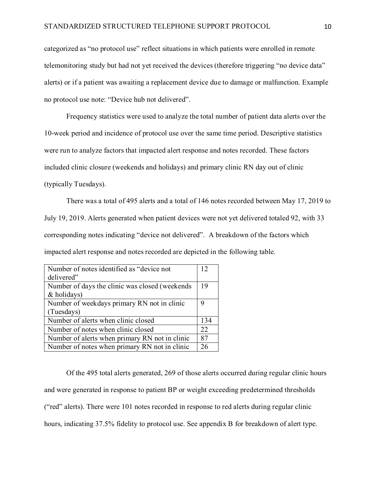categorized as "no protocol use" reflect situations in which patients were enrolled in remote telemonitoring study but had not yet received the devices (therefore triggering "no device data" alerts) or if a patient was awaiting a replacement device due to damage or malfunction. Example no protocol use note: "Device hub not delivered".

Frequency statistics were used to analyze the total number of patient data alerts over the 10-week period and incidence of protocol use over the same time period. Descriptive statistics were run to analyze factors that impacted alert response and notes recorded. These factors included clinic closure (weekends and holidays) and primary clinic RN day out of clinic (typically Tuesdays).

 There was a total of 495 alerts and a total of 146 notes recorded between May 17, 2019 to July 19, 2019. Alerts generated when patient devices were not yet delivered totaled 92, with 33 corresponding notes indicating "device not delivered". A breakdown of the factors which impacted alert response and notes recorded are depicted in the following table.

| Number of notes identified as "device not      | 12  |
|------------------------------------------------|-----|
| delivered"                                     |     |
| Number of days the clinic was closed (weekends | 19  |
| & holidays)                                    |     |
| Number of weekdays primary RN not in clinic    | 9   |
| (Tuesdays)                                     |     |
| Number of alerts when clinic closed            | 134 |
| Number of notes when clinic closed             | 22  |
| Number of alerts when primary RN not in clinic | 87  |
| Number of notes when primary RN not in clinic  | 26  |

Of the 495 total alerts generated, 269 of those alerts occurred during regular clinic hours and were generated in response to patient BP or weight exceeding predetermined thresholds ("red" alerts). There were 101 notes recorded in response to red alerts during regular clinic hours, indicating 37.5% fidelity to protocol use. See appendix B for breakdown of alert type.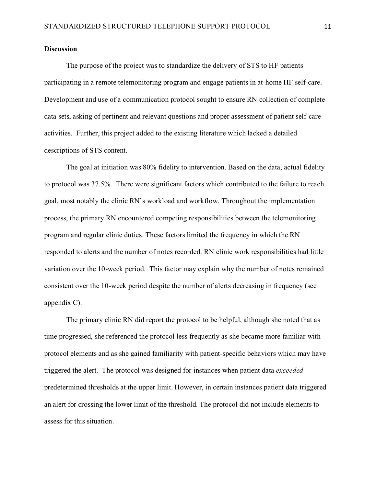## **Discussion**

The purpose of the project was to standardize the delivery of STS to HF patients participating in a remote telemonitoring program and engage patients in at-home HF self-care. Development and use of a communication protocol sought to ensure RN collection of complete data sets, asking of pertinent and relevant questions and proper assessment of patient self-care activities. Further, this project added to the existing literature which lacked a detailed descriptions of STS content.

The goal at initiation was 80% fidelity to intervention. Based on the data, actual fidelity to protocol was 37.5%. There were significant factors which contributed to the failure to reach goal, most notably the clinic RN's workload and workflow. Throughout the implementation process, the primary RN encountered competing responsibilities between the telemonitoring program and regular clinic duties. These factors limited the frequency in which the RN responded to alerts and the number of notes recorded. RN clinic work responsibilities had little variation over the 10-week period. This factor may explain why the number of notes remained consistent over the 10-week period despite the number of alerts decreasing in frequency (see appendix C).

The primary clinic RN did report the protocol to be helpful, although she noted that as time progressed, she referenced the protocol less frequently as she became more familiar with protocol elements and as she gained familiarity with patient-specific behaviors which may have triggered the alert. The protocol was designed for instances when patient data *exceeded* predetermined thresholds at the upper limit. However, in certain instances patient data triggered an alert for crossing the lower limit of the threshold. The protocol did not include elements to assess for this situation.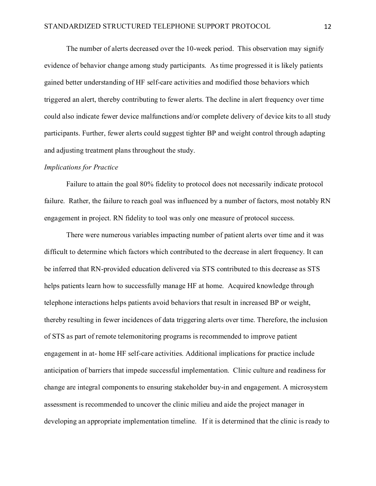The number of alerts decreased over the 10-week period. This observation may signify evidence of behavior change among study participants. As time progressed it is likely patients gained better understanding of HF self-care activities and modified those behaviors which triggered an alert, thereby contributing to fewer alerts. The decline in alert frequency over time could also indicate fewer device malfunctions and/or complete delivery of device kits to all study participants. Further, fewer alerts could suggest tighter BP and weight control through adapting and adjusting treatment plans throughout the study.

#### *Implications for Practice*

Failure to attain the goal 80% fidelity to protocol does not necessarily indicate protocol failure. Rather, the failure to reach goal was influenced by a number of factors, most notably RN engagement in project. RN fidelity to tool was only one measure of protocol success.

There were numerous variables impacting number of patient alerts over time and it was difficult to determine which factors which contributed to the decrease in alert frequency. It can be inferred that RN-provided education delivered via STS contributed to this decrease as STS helps patients learn how to successfully manage HF at home. Acquired knowledge through telephone interactions helps patients avoid behaviors that result in increased BP or weight, thereby resulting in fewer incidences of data triggering alerts over time. Therefore, the inclusion of STS as part of remote telemonitoring programs is recommended to improve patient engagement in at- home HF self-care activities. Additional implications for practice include anticipation of barriers that impede successful implementation. Clinic culture and readiness for change are integral components to ensuring stakeholder buy-in and engagement. A microsystem assessment is recommended to uncover the clinic milieu and aide the project manager in developing an appropriate implementation timeline. If it is determined that the clinic is ready to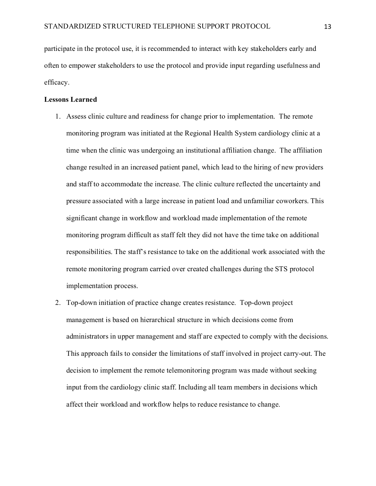participate in the protocol use, it is recommended to interact with key stakeholders early and often to empower stakeholders to use the protocol and provide input regarding usefulness and efficacy.

## **Lessons Learned**

- 1. Assess clinic culture and readiness for change prior to implementation. The remote monitoring program was initiated at the Regional Health System cardiology clinic at a time when the clinic was undergoing an institutional affiliation change. The affiliation change resulted in an increased patient panel, which lead to the hiring of new providers and staff to accommodate the increase. The clinic culture reflected the uncertainty and pressure associated with a large increase in patient load and unfamiliar coworkers. This significant change in workflow and workload made implementation of the remote monitoring program difficult as staff felt they did not have the time take on additional responsibilities. The staff's resistance to take on the additional work associated with the remote monitoring program carried over created challenges during the STS protocol implementation process.
- 2. Top-down initiation of practice change creates resistance. Top-down project management is based on hierarchical structure in which decisions come from administrators in upper management and staff are expected to comply with the decisions. This approach fails to consider the limitations of staff involved in project carry-out. The decision to implement the remote telemonitoring program was made without seeking input from the cardiology clinic staff. Including all team members in decisions which affect their workload and workflow helps to reduce resistance to change.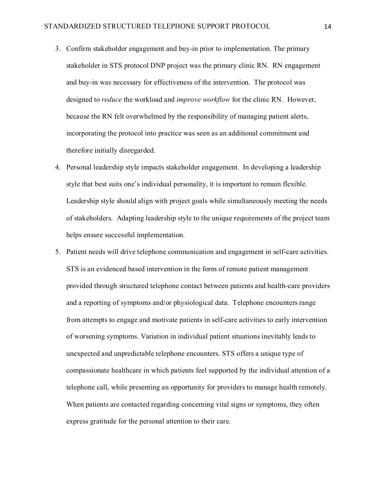- 3. Confirm stakeholder engagement and buy-in prior to implementation. The primary stakeholder in STS protocol DNP project was the primary clinic RN. RN engagement and buy-in was necessary for effectiveness of the intervention. The protocol was designed to *reduce* the workload and *improve workflow* for the clinic RN. However, because the RN felt overwhelmed by the responsibility of managing patient alerts, incorporating the protocol into practice was seen as an additional commitment and therefore initially disregarded.
- 4. Personal leadership style impacts stakeholder engagement. In developing a leadership style that best suits one's individual personality, it is important to remain flexible. Leadership style should align with project goals while simultaneously meeting the needs of stakeholders. Adapting leadership style to the unique requirements of the project team helps ensure successful implementation.
- 5. Patient needs will drive telephone communication and engagement in self-care activities. STS is an evidenced based intervention in the form of remote patient management provided through structured telephone contact between patients and health-care providers and a reporting of symptoms and/or physiological data. Telephone encounters range from attempts to engage and motivate patients in self-care activities to early intervention of worsening symptoms. Variation in individual patient situations inevitably leads to unexpected and unpredictable telephone encounters. STS offers a unique type of compassionate healthcare in which patients feel supported by the individual attention of a telephone call, while presenting an opportunity for providers to manage health remotely. When patients are contacted regarding concerning vital signs or symptoms, they often express gratitude for the personal attention to their care.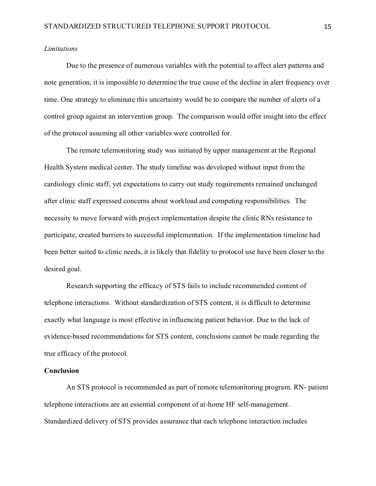# *Limitations*

Due to the presence of numerous variables with the potential to affect alert patterns and note generation, it is impossible to determine the true cause of the decline in alert frequency over time. One strategy to eliminate this uncertainty would be to compare the number of alerts of a control group against an intervention group. The comparison would offer insight into the effect of the protocol assuming all other variables were controlled for.

The remote telemonitoring study was initiated by upper management at the Regional Health System medical center. The study timeline was developed without input from the cardiology clinic staff, yet expectations to carry out study requirements remained unchanged after clinic staff expressed concerns about workload and competing responsibilities. The necessity to move forward with project implementation despite the clinic RNs resistance to participate, created barriers to successful implementation. If the implementation timeline had been better suited to clinic needs, it is likely that fidelity to protocol use have been closer to the desired goal.

Research supporting the efficacy of STS fails to include recommended content of telephone interactions. Without standardization of STS content, it is difficult to determine exactly what language is most effective in influencing patient behavior. Due to the lack of evidence-based recommendations for STS content, conclusions cannot be made regarding the true efficacy of the protocol.

# **Conclusion**

An STS protocol is recommended as part of remote telemonitoring program. RN- patient telephone interactions are an essential component of at-home HF self-management. Standardized delivery of STS provides assurance that each telephone interaction includes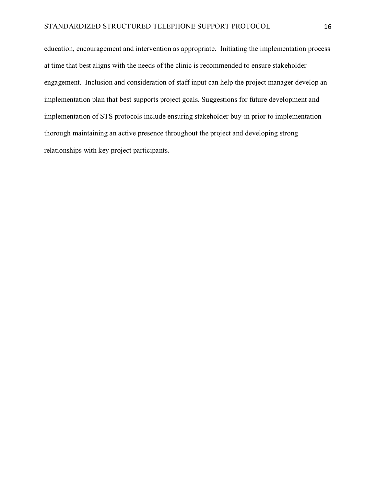education, encouragement and intervention as appropriate. Initiating the implementation process at time that best aligns with the needs of the clinic is recommended to ensure stakeholder engagement. Inclusion and consideration of staff input can help the project manager develop an implementation plan that best supports project goals. Suggestions for future development and implementation of STS protocols include ensuring stakeholder buy-in prior to implementation thorough maintaining an active presence throughout the project and developing strong relationships with key project participants.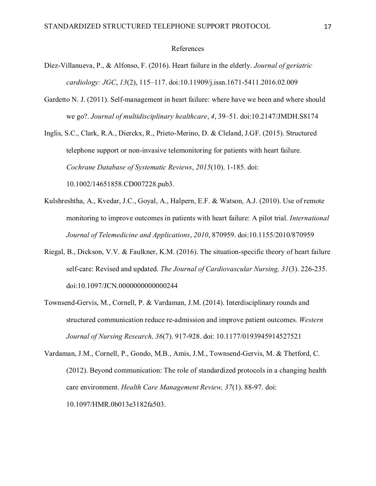#### References

- Díez-Villanueva, P., & Alfonso, F. (2016). Heart failure in the elderly. *Journal of geriatric cardiology: JGC*, *13*(2), 115–117. doi:10.11909/j.issn.1671-5411.2016.02.009
- Gardetto N. J. (2011). Self-management in heart failure: where have we been and where should we go?. *Journal of multidisciplinary healthcare*, *4*, 39–51. doi:10.2147/JMDH.S8174

Inglis, S.C., Clark, R.A., Dierckx, R., Prieto-Merino, D. & Cleland, J.GF. (2015). Structured telephone support or non-invasive telemonitoring for patients with heart failure. *Cochrane Database of Systematic Reviews*, *2015*(10). 1-185. doi: 10.1002/14651858.CD007228.pub3.

- Kulshreshtha, A., Kvedar, J.C., Goyal, A., Halpern, E.F. & Watson, A.J. (2010). Use of remote monitoring to improve outcomes in patients with heart failure: A pilot trial. *International Journal of Telemedicine and Applications*, *2010*, 870959. doi:10.1155/2010/870959
- Riegal, B., Dickson, V.V. & Faulkner, K.M. (2016). The situation-specific theory of heart failure self-care: Revised and updated. *The Journal of Cardiovascular Nursing, 31*(3). 226-235. doi:10.1097/JCN.0000000000000244
- Townsend-Gervis, M., Cornell, P. & Vardaman, J.M. (2014). Interdisciplinary rounds and structured communication reduce re-admission and improve patient outcomes. *Western Journal of Nursing Research, 36*(7). 917-928. doi: 10.1177/0193945914527521
- Vardaman, J.M., Cornell, P., Gondo, M.B., Amis, J.M., Townsend-Gervis, M. & Thetford, C. (2012). Beyond communication: The role of standardized protocols in a changing health care environment. *Health Care Management Review, 37*(1). 88-97. doi: 10.1097/HMR.0b013e3182fa503.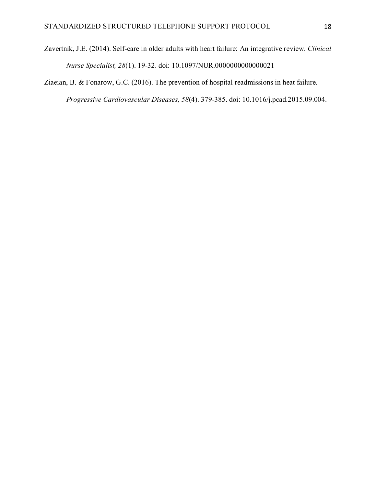Zavertnik, J.E. (2014). Self-care in older adults with heart failure: An integrative review. *Clinical Nurse Specialist, 28*(1). 19-32. doi: 10.1097/NUR.0000000000000021

Ziaeian, B. & Fonarow, G.C. (2016). The prevention of hospital readmissions in heat failure. *Progressive Cardiovascular Diseases, 58*(4). 379-385. doi: 10.1016/j.pcad.2015.09.004.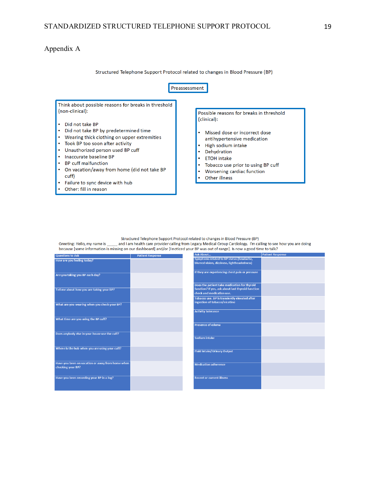# Appendix A

Other: fill in reason

Structured Telephone Support Protocol related to changes in Blood Pressure (BP)



Structured Telephone Support Protocol related to changes in Blood Pressure (BP)

Greeting: Hello, my name is<br>and I am health care provider calling from Legacy Medical Group Cardiology. I'm calling to see how you are doing<br>because [some information is missing on our dashboard] and/or [I noticed your BP

| <b>Questions to Ask</b>                                               | <b>Patient Response</b> | ASN ADUUL                                                                                                                      | <b>FAUCHL RESPONSE</b> |
|-----------------------------------------------------------------------|-------------------------|--------------------------------------------------------------------------------------------------------------------------------|------------------------|
| How are you feeling today?                                            |                         | Symptoms related to BP status (headache,<br>blurred vision, dizziness, lightheadedness)                                        |                        |
| Are you taking you BP each day?                                       |                         | If they are experiencing chest pain or pressure                                                                                |                        |
| Tell me about how you are taking your BP?                             |                         | Does the patient take medication for thyroid<br>function? If yes, ask about last thyroid function<br>check and medication use. |                        |
| What are you wearing when you check your BP?                          |                         | Tobacco use. BP is transiently elevated after<br>ingestion of tobacco/nicotine                                                 |                        |
| What time are you using the BP cuff?                                  |                         | <b>Activity tolerance</b>                                                                                                      |                        |
| Does anybody else in your house use the cuff?                         |                         | <b>Presence of edema</b>                                                                                                       |                        |
|                                                                       |                         | Sodium intake                                                                                                                  |                        |
| Where is the hub when you are using your cuff?                        |                         | Fluid intake/Urinary Output                                                                                                    |                        |
| Have you been on vacation or away from home when<br>checking your BP? |                         | <b>Medication adherence</b>                                                                                                    |                        |
| Have you been recording your BP in a log?                             |                         | <b>Recent or current illness</b>                                                                                               |                        |
|                                                                       |                         |                                                                                                                                |                        |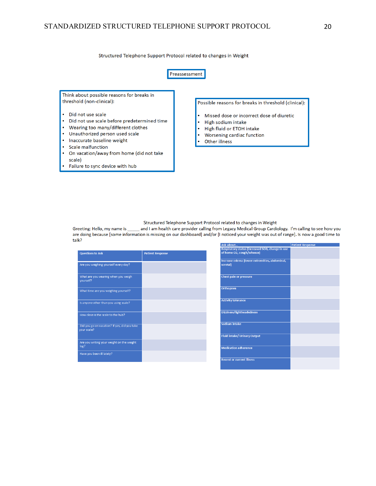Structured Telephone Support Protocol related to changes in Weight



Structured Telephone Support Protocol related to changes in Weight

Greeting: Hello, my name is and I am health care provider calling from Legacy Medical Group Cardiology. I'm calling to see how you are doing because [some information is missing on our dashboard] and/or [I noticed your weight was out of range]. Is now a good time to talk?

| <b>Questions to Ask</b>                                     | <b>Patient Response</b> |
|-------------------------------------------------------------|-------------------------|
| Are you weighing yourself every day?                        |                         |
| What are you wearing when you weigh<br>yourself?            |                         |
| What time are you weighing yourself?                        |                         |
| Is anyone other than you using scale?                       |                         |
| How close is the scale to the hub?                          |                         |
| Did you go on vacation? If yes, did you take<br>your scale? |                         |
| Are you writing your weight on the weight<br>log?           |                         |
| Have you been ill lately?                                   |                         |

| <b>Ask About</b>                                                              | <b>Patient Response</b> |
|-------------------------------------------------------------------------------|-------------------------|
| Respiratory status (increased SOB, change in use<br>of home O2, cough/wheeze) |                         |
| Increase edema (lower extremities, abdominal,<br>scrotal)                     |                         |
| <b>Chest pain or pressure</b>                                                 |                         |
| <b>Orthopnea</b>                                                              |                         |
| <b>Activity tolerance</b>                                                     |                         |
| <b>Dizziness/lightheadedness</b>                                              |                         |
| <b>Sodium</b> intake                                                          |                         |
| <b>Fluid intake/ Urinary Output</b>                                           |                         |
| <b>Medication adherence</b>                                                   |                         |
| <b>Recent or current illness</b>                                              |                         |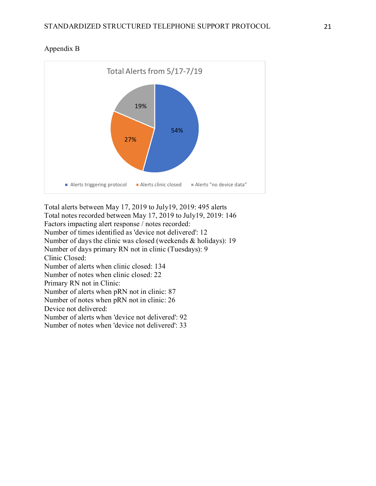

# Appendix B

Total alerts between May 17, 2019 to July19, 2019: 495 alerts Total notes recorded between May 17, 2019 to July19, 2019: 146 Factors impacting alert response / notes recorded: Number of times identified as 'device not delivered': 12 Number of days the clinic was closed (weekends & holidays): 19 Number of days primary RN not in clinic (Tuesdays): 9 Clinic Closed: Number of alerts when clinic closed: 134 Number of notes when clinic closed: 22 Primary RN not in Clinic: Number of alerts when pRN not in clinic: 87 Number of notes when pRN not in clinic: 26 Device not delivered: Number of alerts when 'device not delivered': 92 Number of notes when 'device not delivered': 33